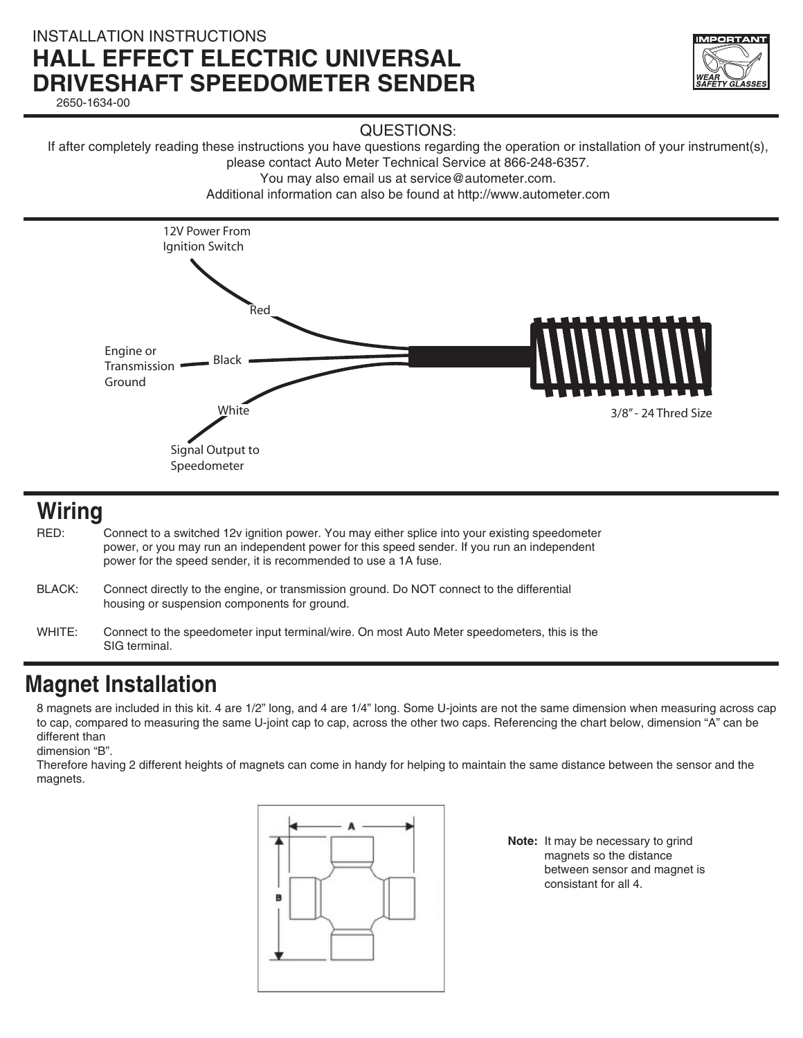### INSTALLATION INSTRUCTIONS **HALL EFFECT ELECTRIC UNIVERSAL DRIVESHAFT SPEEDOMETER SENDER** 2650-1634-00

QUESTIONS:

If after completely reading these instructions you have questions regarding the operation or installation of your instrument(s), please contact Auto Meter Technical Service at 866-248-6357.

You may also email us at service@autometer.com.

Additional information can also be found at http://www.autometer.com



## **Wiring**

RED: Connect to a switched 12v ignition power. You may either splice into your existing speedometer power, or you may run an independent power for this speed sender. If you run an independent power for the speed sender, it is recommended to use a 1A fuse.

- BLACK: Connect directly to the engine, or transmission ground. Do NOT connect to the differential housing or suspension components for ground.
- WHITE: Connect to the speedometer input terminal/wire. On most Auto Meter speedometers, this is the SIG terminal.

# **Magnet Installation**

8 magnets are included in this kit. 4 are 1/2" long, and 4 are 1/4" long. Some U-joints are not the same dimension when measuring across cap to cap, compared to measuring the same U-joint cap to cap, across the other two caps. Referencing the chart below, dimension "A" can be different than

dimension "B".

Therefore having 2 different heights of magnets can come in handy for helping to maintain the same distance between the sensor and the magnets.



**Note:** It may be necessary to grind magnets so the distance between sensor and magnet is consistant for all 4.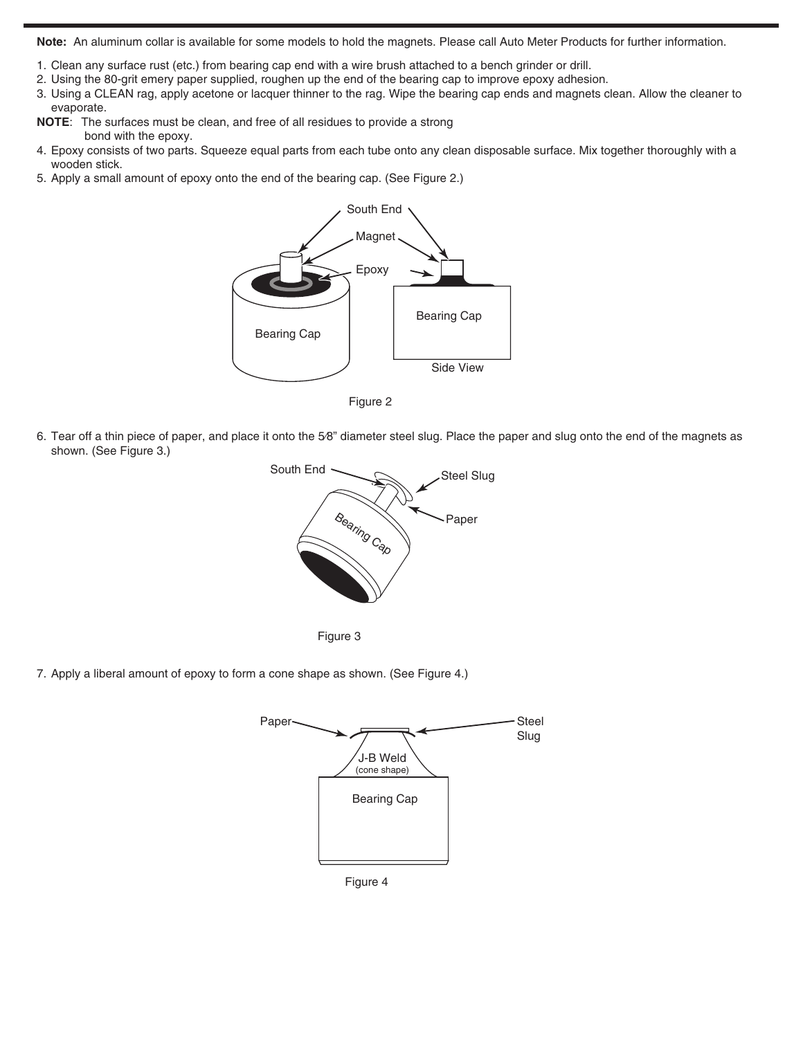**Note:** An aluminum collar is available for some models to hold the magnets. Please call Auto Meter Products for further information.

- 1. Clean any surface rust (etc.) from bearing cap end with a wire brush attached to a bench grinder or drill.
- 2. Using the 80-grit emery paper supplied, roughen up the end of the bearing cap to improve epoxy adhesion.
- 3. Using a CLEAN rag, apply acetone or lacquer thinner to the rag. Wipe the bearing cap ends and magnets clean. Allow the cleaner to evaporate.
- **NOTE**: The surfaces must be clean, and free of all residues to provide a strong bond with the epoxy.
- 4. Epoxy consists of two parts. Squeeze equal parts from each tube onto any clean disposable surface. Mix together thoroughly with a wooden stick.
- 5. Apply a small amount of epoxy onto the end of the bearing cap. (See Figure 2.)



Figure 2

6. Tear off a thin piece of paper, and place it onto the 5⁄8" diameter steel slug. Place the paper and slug onto the end of the magnets as shown. (See Figure 3.)





7. Apply a liberal amount of epoxy to form a cone shape as shown. (See Figure 4.)



Figure 4